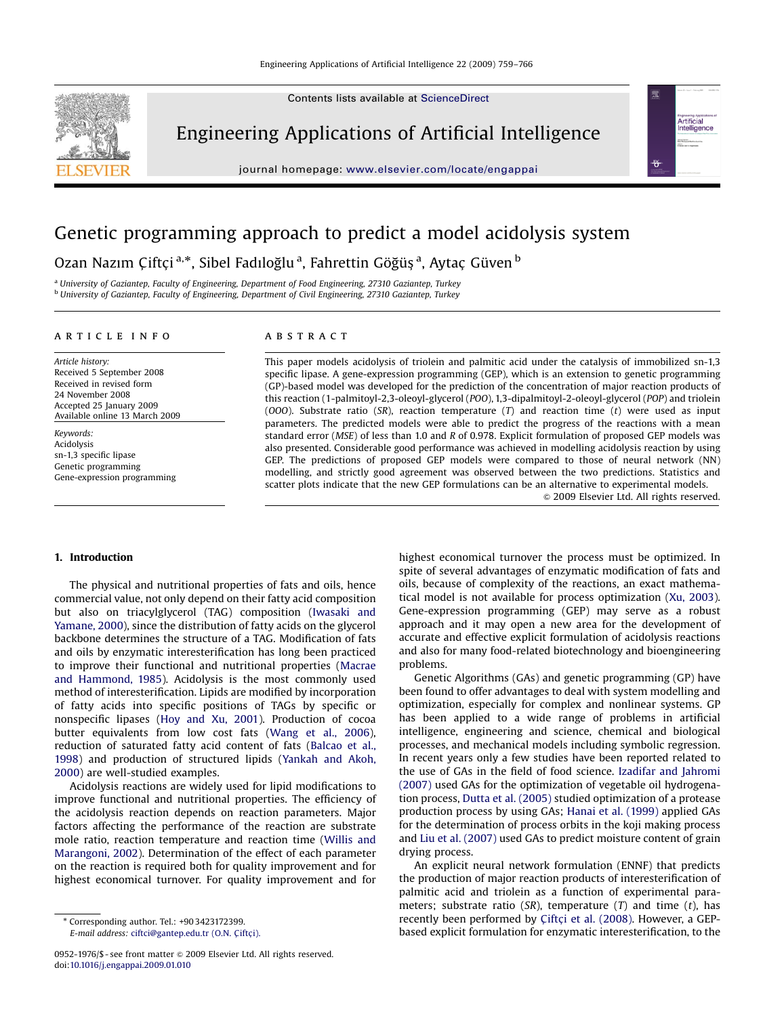Contents lists available at [ScienceDirect](www.sciencedirect.com/science/journal/eaai)



Engineering Applications of Artificial Intelligence

journal homepage: <www.elsevier.com/locate/engappai>



## Genetic programming approach to predict a model acidolysis system

Ozan Nazım Çiftçi <sup>a,</sup>\*, Sibel Fadıloğlu <sup>a</sup>, Fahrettin Göğüş <sup>a</sup>, Aytaç Güven <sup>b</sup>

<sup>a</sup> University of Gaziantep, Faculty of Engineering, Department of Food Engineering, 27310 Gaziantep, Turkey <sup>b</sup> University of Gaziantep, Faculty of Engineering, Department of Civil Engineering, 27310 Gaziantep, Turkey

#### article info

Article history: Received 5 September 2008 Received in revised form 24 November 2008 Accepted 25 January 2009 Available online 13 March 2009

Keywords: Acidolysis sn-1,3 specific lipase Genetic programming Gene-expression programming

## **ABSTRACT**

This paper models acidolysis of triolein and palmitic acid under the catalysis of immobilized sn-1,3 specific lipase. A gene-expression programming (GEP), which is an extension to genetic programming (GP)-based model was developed for the prediction of the concentration of major reaction products of this reaction (1-palmitoyl-2,3-oleoyl-glycerol (POO), 1,3-dipalmitoyl-2-oleoyl-glycerol (POP) and triolein (OOO). Substrate ratio (SR), reaction temperature  $(T)$  and reaction time  $(t)$  were used as input parameters. The predicted models were able to predict the progress of the reactions with a mean standard error (MSE) of less than 1.0 and R of 0.978. Explicit formulation of proposed GEP models was also presented. Considerable good performance was achieved in modelling acidolysis reaction by using GEP. The predictions of proposed GEP models were compared to those of neural network (NN) modelling, and strictly good agreement was observed between the two predictions. Statistics and scatter plots indicate that the new GEP formulations can be an alternative to experimental models.

 $© 2009$  Elsevier Ltd. All rights reserved.

## 1. Introduction

The physical and nutritional properties of fats and oils, hence commercial value, not only depend on their fatty acid composition but also on triacylglycerol (TAG) composition [\(Iwasaki and](#page--1-0) [Yamane, 2000](#page--1-0)), since the distribution of fatty acids on the glycerol backbone determines the structure of a TAG. Modification of fats and oils by enzymatic interesterification has long been practiced to improve their functional and nutritional properties ([Macrae](#page--1-0) [and Hammond, 1985](#page--1-0)). Acidolysis is the most commonly used method of interesterification. Lipids are modified by incorporation of fatty acids into specific positions of TAGs by specific or nonspecific lipases [\(Hoy and Xu, 2001\)](#page--1-0). Production of cocoa butter equivalents from low cost fats ([Wang et al., 2006\)](#page--1-0), reduction of saturated fatty acid content of fats [\(Balcao et al.,](#page--1-0) [1998](#page--1-0)) and production of structured lipids ([Yankah and Akoh,](#page--1-0) [2000](#page--1-0)) are well-studied examples.

Acidolysis reactions are widely used for lipid modifications to improve functional and nutritional properties. The efficiency of the acidolysis reaction depends on reaction parameters. Major factors affecting the performance of the reaction are substrate mole ratio, reaction temperature and reaction time [\(Willis and](#page--1-0) [Marangoni, 2002\)](#page--1-0). Determination of the effect of each parameter on the reaction is required both for quality improvement and for highest economical turnover. For quality improvement and for highest economical turnover the process must be optimized. In spite of several advantages of enzymatic modification of fats and oils, because of complexity of the reactions, an exact mathematical model is not available for process optimization ([Xu, 2003\)](#page--1-0). Gene-expression programming (GEP) may serve as a robust approach and it may open a new area for the development of accurate and effective explicit formulation of acidolysis reactions and also for many food-related biotechnology and bioengineering problems.

Genetic Algorithms (GAs) and genetic programming (GP) have been found to offer advantages to deal with system modelling and optimization, especially for complex and nonlinear systems. GP has been applied to a wide range of problems in artificial intelligence, engineering and science, chemical and biological processes, and mechanical models including symbolic regression. In recent years only a few studies have been reported related to the use of GAs in the field of food science. [Izadifar and Jahromi](#page--1-0) [\(2007\)](#page--1-0) used GAs for the optimization of vegetable oil hydrogenation process, [Dutta et al. \(2005\)](#page--1-0) studied optimization of a protease production process by using GAs; [Hanai et al. \(1999\)](#page--1-0) applied GAs for the determination of process orbits in the koji making process and [Liu et al. \(2007\)](#page--1-0) used GAs to predict moisture content of grain drying process.

An explicit neural network formulation (ENNF) that predicts the production of major reaction products of interesterification of palmitic acid and triolein as a function of experimental parameters; substrate ratio (SR), temperature  $(T)$  and time  $(t)$ , has recently been performed by Çiftç[i et al. \(2008\)](#page--1-0). However, a GEPbased explicit formulation for enzymatic interesterification, to the

<sup>-</sup> Corresponding author. Tel.: +90 3423172399.

E-mail address: ciftci@gantep.edu.tr (O.N. Çiftçi).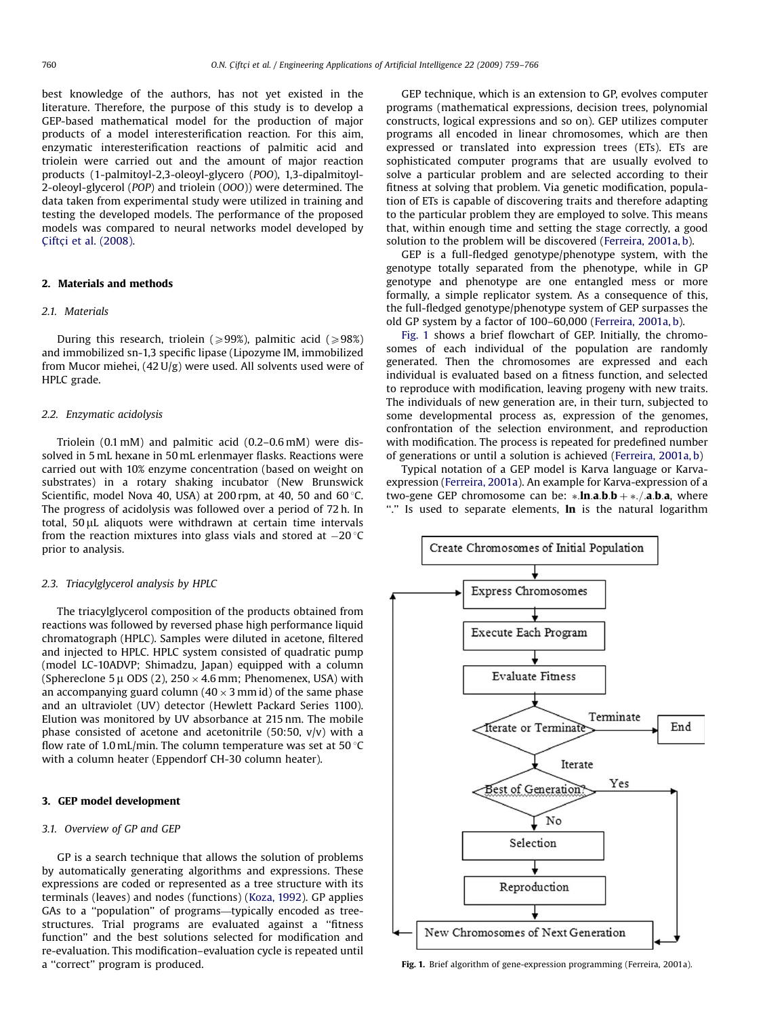best knowledge of the authors, has not yet existed in the literature. Therefore, the purpose of this study is to develop a GEP-based mathematical model for the production of major products of a model interesterification reaction. For this aim, enzymatic interesterification reactions of palmitic acid and triolein were carried out and the amount of major reaction products (1-palmitoyl-2,3-oleoyl-glycero (POO), 1,3-dipalmitoyl-2-oleoyl-glycerol (POP) and triolein (OOO)) were determined. The data taken from experimental study were utilized in training and testing the developed models. The performance of the proposed models was compared to neural networks model developed by Çiftç[i et al. \(2008\)](#page--1-0).

## 2. Materials and methods

#### 2.1. Materials

During this research, triolein ( $\geq$ 99%), palmitic acid ( $\geq$ 98%) and immobilized sn-1,3 specific lipase (Lipozyme IM, immobilized from Mucor miehei, (42 U/g) were used. All solvents used were of HPLC grade.

#### 2.2. Enzymatic acidolysis

Triolein (0.1 mM) and palmitic acid (0.2–0.6 mM) were dissolved in 5 mL hexane in 50 mL erlenmayer flasks. Reactions were carried out with 10% enzyme concentration (based on weight on substrates) in a rotary shaking incubator (New Brunswick Scientific, model Nova 40, USA) at 200 rpm, at 40, 50 and 60 $\degree$ C. The progress of acidolysis was followed over a period of 72 h. In total,  $50 \mu$ L aliquots were withdrawn at certain time intervals from the reaction mixtures into glass vials and stored at  $-20\,^{\circ}\mathrm{C}$ prior to analysis.

## 2.3. Triacylglycerol analysis by HPLC

The triacylglycerol composition of the products obtained from reactions was followed by reversed phase high performance liquid chromatograph (HPLC). Samples were diluted in acetone, filtered and injected to HPLC. HPLC system consisted of quadratic pump (model LC-10ADVP; Shimadzu, Japan) equipped with a column (Sphereclone 5  $\mu$  ODS (2), 250  $\times$  4.6 mm; Phenomenex, USA) with an accompanying guard column (40  $\times$  3 mm id) of the same phase and an ultraviolet (UV) detector (Hewlett Packard Series 1100). Elution was monitored by UV absorbance at 215 nm. The mobile phase consisted of acetone and acetonitrile (50:50, v/v) with a flow rate of 1.0 mL/min. The column temperature was set at 50  $\degree$ C with a column heater (Eppendorf CH-30 column heater).

## 3. GEP model development

#### 3.1. Overview of GP and GEP

GP is a search technique that allows the solution of problems by automatically generating algorithms and expressions. These expressions are coded or represented as a tree structure with its terminals (leaves) and nodes (functions) [\(Koza, 1992\)](#page--1-0). GP applies GAs to a ''population'' of programs—typically encoded as treestructures. Trial programs are evaluated against a ''fitness function'' and the best solutions selected for modification and re-evaluation. This modification–evaluation cycle is repeated until a ''correct'' program is produced.

GEP technique, which is an extension to GP, evolves computer programs (mathematical expressions, decision trees, polynomial constructs, logical expressions and so on). GEP utilizes computer programs all encoded in linear chromosomes, which are then expressed or translated into expression trees (ETs). ETs are sophisticated computer programs that are usually evolved to solve a particular problem and are selected according to their fitness at solving that problem. Via genetic modification, population of ETs is capable of discovering traits and therefore adapting to the particular problem they are employed to solve. This means that, within enough time and setting the stage correctly, a good solution to the problem will be discovered ([Ferreira, 2001a, b](#page--1-0)).

GEP is a full-fledged genotype/phenotype system, with the genotype totally separated from the phenotype, while in GP genotype and phenotype are one entangled mess or more formally, a simple replicator system. As a consequence of this, the full-fledged genotype/phenotype system of GEP surpasses the old GP system by a factor of 100–60,000 [\(Ferreira, 2001a, b](#page--1-0)).

Fig. 1 shows a brief flowchart of GEP. Initially, the chromosomes of each individual of the population are randomly generated. Then the chromosomes are expressed and each individual is evaluated based on a fitness function, and selected to reproduce with modification, leaving progeny with new traits. The individuals of new generation are, in their turn, subjected to some developmental process as, expression of the genomes, confrontation of the selection environment, and reproduction with modification. The process is repeated for predefined number of generations or until a solution is achieved [\(Ferreira, 2001a, b](#page--1-0))

Typical notation of a GEP model is Karva language or Karvaexpression ([Ferreira, 2001a](#page--1-0)). An example for Karva-expression of a two-gene GEP chromosome can be:  $*.\ln.a.b.b + *./.a.b.a$ , where "." Is used to separate elements, In is the natural logarithm



Fig. 1. Brief algorithm of gene-expression programming ([Ferreira, 2001a\)](#page--1-0).